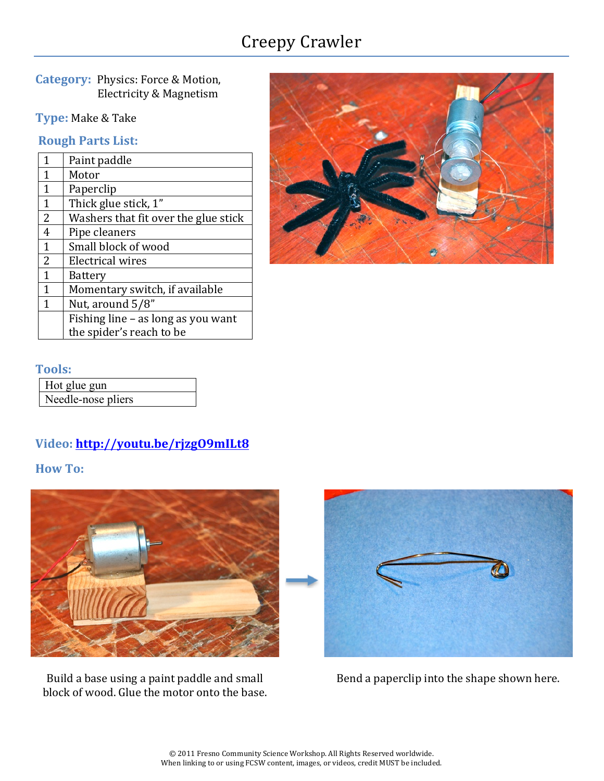# Creepy Crawler

**Category: Physics: Force & Motion,** Electricity & Magnetism

**Type: Make & Take** 

**Rough Parts List:** 

| 1              | Paint paddle                         |
|----------------|--------------------------------------|
| 1              | Motor                                |
| 1              | Paperclip                            |
| 1              | Thick glue stick, 1"                 |
| $\overline{2}$ | Washers that fit over the glue stick |
| 4              | Pipe cleaners                        |
| $\mathbf{1}$   | Small block of wood                  |
| 2              | Electrical wires                     |
| 1              | Battery                              |
| 1              | Momentary switch, if available       |
| 1              | Nut, around 5/8"                     |
|                | Fishing line - as long as you want   |
|                | the spider's reach to be             |



#### **Tools:**

| Hot glue gun       |
|--------------------|
| Needle-nose pliers |

## **Video: http://youtu.be/rjzgO9mILt8**

**How To:** 



Build a base using a paint paddle and small block of wood. Glue the motor onto the base.



Bend a paperclip into the shape shown here.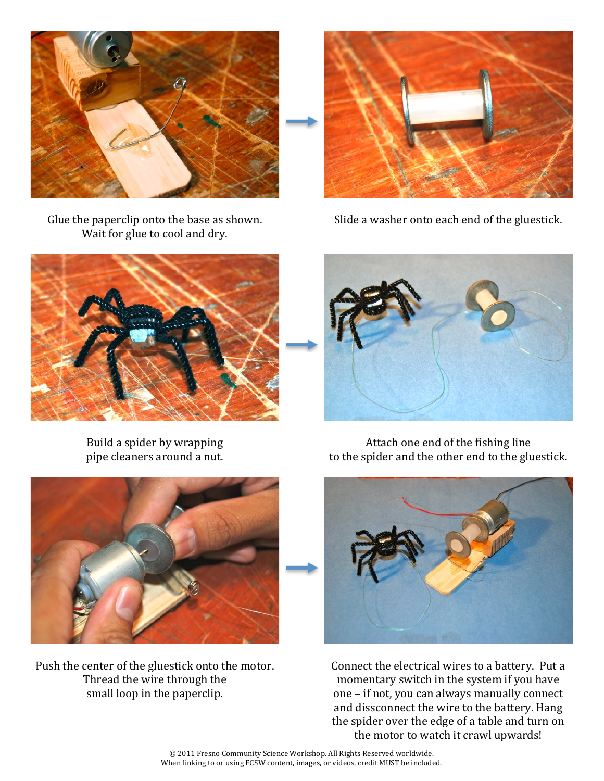

Glue the paperclip onto the base as shown. Wait for glue to cool and dry.



Slide a washer onto each end of the gluestick.



Build a spider by wrapping pipe cleaners around a nut.



Attach one end of the fishing line to the spider and the other end to the gluestick.



Push the center of the gluestick onto the motor. Thread the wire through the small loop in the paperclip.



Connect the electrical wires to a battery. Put a momentary switch in the system if you have one – if not, you can always manually connect and dissconnect the wire to the battery. Hang the spider over the edge of a table and turn on the motor to watch it crawl upwards!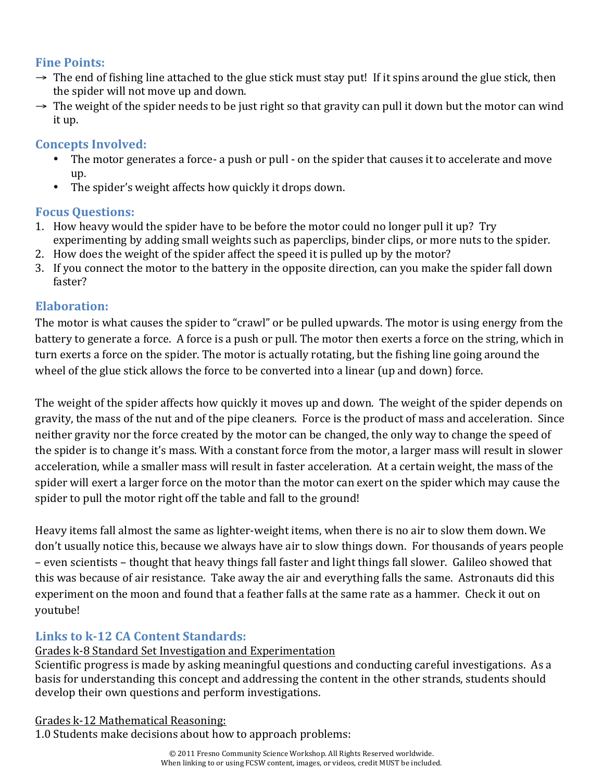#### **Fine Points:**

- $\rightarrow$  The end of fishing line attached to the glue stick must stay put! If it spins around the glue stick, then the spider will not move up and down.
- $\rightarrow$  The weight of the spider needs to be just right so that gravity can pull it down but the motor can wind it up.

## **Concepts Involved:**

- The motor generates a force- a push or pull on the spider that causes it to accelerate and move up.
- The spider's weight affects how quickly it drops down.

## **Focus Ouestions:**

- 1. How heavy would the spider have to be before the motor could no longer pull it up? Try experimenting by adding small weights such as paperclips, binder clips, or more nuts to the spider.
- 2. How does the weight of the spider affect the speed it is pulled up by the motor?
- 3. If you connect the motor to the battery in the opposite direction, can you make the spider fall down faster?

## **Elaboration:**

The motor is what causes the spider to "crawl" or be pulled upwards. The motor is using energy from the battery to generate a force. A force is a push or pull. The motor then exerts a force on the string, which in turn exerts a force on the spider. The motor is actually rotating, but the fishing line going around the wheel of the glue stick allows the force to be converted into a linear (up and down) force.

The weight of the spider affects how quickly it moves up and down. The weight of the spider depends on gravity, the mass of the nut and of the pipe cleaners. Force is the product of mass and acceleration. Since neither gravity nor the force created by the motor can be changed, the only way to change the speed of the spider is to change it's mass. With a constant force from the motor, a larger mass will result in slower acceleration, while a smaller mass will result in faster acceleration. At a certain weight, the mass of the spider will exert a larger force on the motor than the motor can exert on the spider which may cause the spider to pull the motor right off the table and fall to the ground!

Heavy items fall almost the same as lighter-weight items, when there is no air to slow them down. We don't usually notice this, because we always have air to slow things down. For thousands of years people – even scientists – thought that heavy things fall faster and light things fall slower. Galileo showed that this was because of air resistance. Take away the air and everything falls the same. Astronauts did this experiment on the moon and found that a feather falls at the same rate as a hammer. Check it out on voutube!

## **Links to k-12 CA Content Standards:**

### Grades k-8 Standard Set Investigation and Experimentation

Scientific progress is made by asking meaningful questions and conducting careful investigations. As a basis for understanding this concept and addressing the content in the other strands, students should develop their own questions and perform investigations.

### Grades k-12 Mathematical Reasoning:

1.0 Students make decisions about how to approach problems: